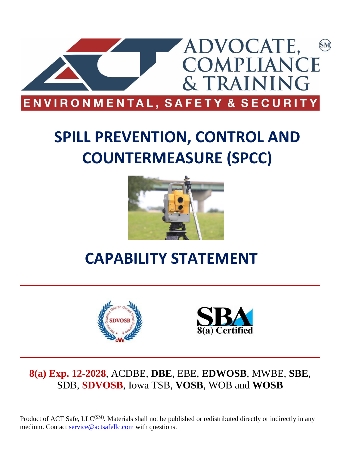

# **SPILL PREVENTION, CONTROL AND COUNTERMEASURE (SPCC)**



# **CAPABILITY STATEMENT**





## **8(a) Exp. 12-2028**, ACDBE, **DBE**, EBE, **EDWOSB**, MWBE, **SBE**, SDB, **SDVOSB**, Iowa TSB, **VOSB**, WOB and **WOSB**

Product of ACT Safe, LLC<sup>(SM)</sup>. Materials shall not be published or redistributed directly or indirectly in any medium. Contact [service@actsafellc.com](mailto:service@actsafellc.com) with questions.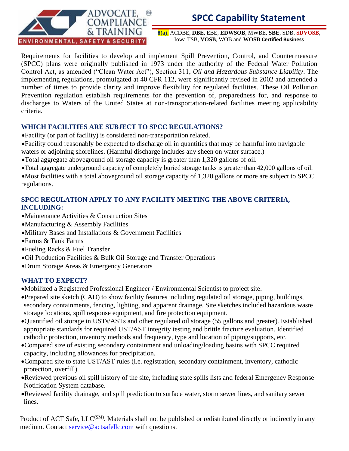

**8(a)**, ACDBE, **DBE**, EBE, **EDWSOB**, MWBE, **SBE**, SDB, **SDVOSB**, Iowa TSB, **VOSB**, WOB and **WOSB Certified Business**

Requirements for facilities to develop and implement Spill Prevention, Control, and Countermeasure (SPCC) plans were originally published in 1973 under the authority of the Federal Water Pollution Control Act, as amended ("Clean Water Act"), Section 311, *Oil and Hazardous Substance Liability*. The implementing regulations, promulgated at 40 CFR 112, were significantly revised in 2002 and amended a number of times to provide clarity and improve flexibility for regulated facilities. These Oil Pollution Prevention regulation establish requirements for the prevention of, preparedness for, and response to discharges to Waters of the United States at non-transportation-related facilities meeting applicability criteria.

### **WHICH FACILITIES ARE SUBJECT TO SPCC REGULATIONS?**

- •Facility (or part of facility) is considered non-transportation related.
- •Facility could reasonably be expected to discharge oil in quantities that may be harmful into navigable waters or adjoining shorelines. (Harmful discharge includes any sheen on water surface.)
- •Total aggregate aboveground oil storage capacity is greater than 1,320 gallons of oil.
- •Total aggregate underground capacity of completely buried storage tanks is greater than 42,000 gallons of oil.

•Most facilities with a total aboveground oil storage capacity of 1,320 gallons or more are subject to SPCC regulations.

### **SPCC REGULATION APPLY TO ANY FACILITY MEETING THE ABOVE CRITERIA, INCLUDING:**

- •Maintenance Activities & Construction Sites
- •Manufacturing & Assembly Facilities
- •Military Bases and Installations & Government Facilities
- •Farms & Tank Farms
- •Fueling Racks & Fuel Transfer
- •Oil Production Facilities & Bulk Oil Storage and Transfer Operations
- •Drum Storage Areas & Emergency Generators

### **WHAT TO EXPECT?**

- •Mobilized a Registered Professional Engineer / Environmental Scientist to project site.
- •Prepared site sketch (CAD) to show facility features including regulated oil storage, piping, buildings, secondary containments, fencing, lighting, and apparent drainage. Site sketches included hazardous waste storage locations, spill response equipment, and fire protection equipment.
- •Quantified oil storage in USTs/ASTs and other regulated oil storage (55 gallons and greater). Established appropriate standards for required UST/AST integrity testing and brittle fracture evaluation. Identified cathodic protection, inventory methods and frequency, type and location of piping/supports, etc.
- •Compared size of existing secondary containment and unloading/loading basins with SPCC required capacity, including allowances for precipitation.
- •Compared site to state UST/AST rules (i.e. registration, secondary containment, inventory, cathodic protection, overfill).
- •Reviewed previous oil spill history of the site, including state spills lists and federal Emergency Response Notification System database.
- •Reviewed facility drainage, and spill prediction to surface water, storm sewer lines, and sanitary sewer lines.

Product of ACT Safe, LLC<sup>(SM)</sup>. Materials shall not be published or redistributed directly or indirectly in any medium. Contact [service@actsafellc.com](mailto:service@actsafellc.com) with questions.